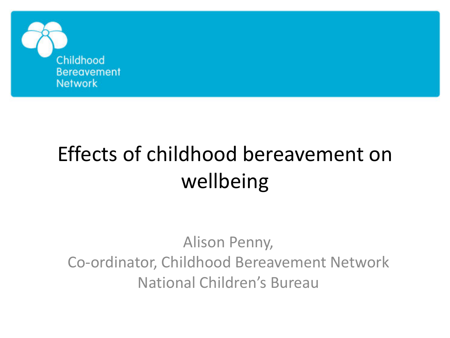

# Effects of childhood bereavement on wellbeing

Alison Penny, Co-ordinator, Childhood Bereavement Network National Children's Bureau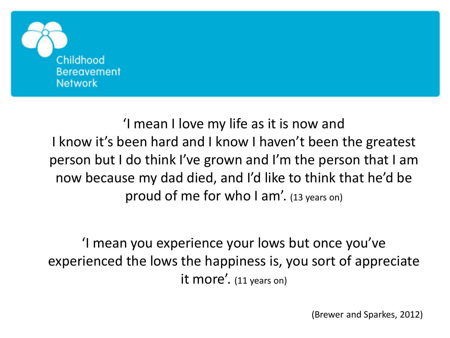

'I mean I love my life as it is now and I know it's been hard and I know I haven't been the greatest person but I do think I've grown and I'm the person that I am now because my dad died, and I'd like to think that he'd be proud of me for who I am'. (13 years on)

'I mean you experience your lows but once you've experienced the lows the happiness is, you sort of appreciate it more'. (11 years on)

(Brewer and Sparkes, 2012)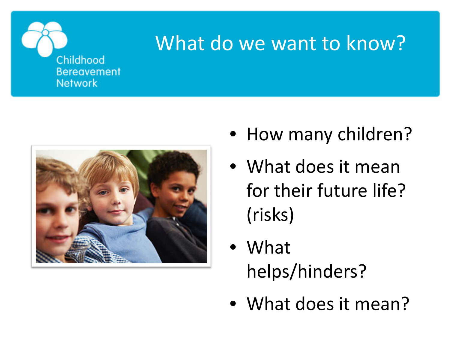

### What do we want to know?



- How many children?
- What does it mean for their future life? (risks)
- What helps/hinders?
- What does it mean?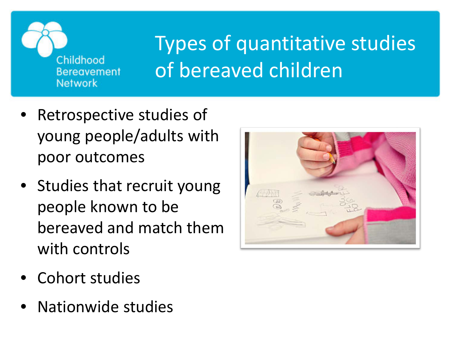

## Types of quantitative studies of bereaved children

- Retrospective studies of young people/adults with poor outcomes
- Studies that recruit young people known to be bereaved and match them with controls
- Cohort studies
- Nationwide studies

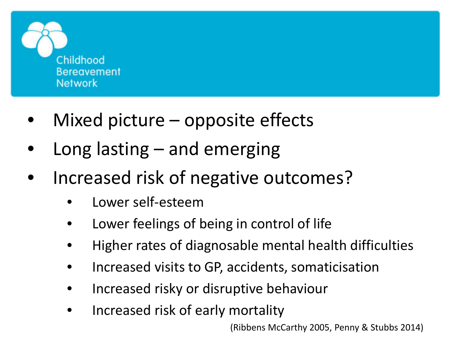

- Mixed picture  $-$  opposite effects
- Long lasting and emerging
- Increased risk of negative outcomes?
	- Lower self-esteem
	- Lower feelings of being in control of life
	- Higher rates of diagnosable mental health difficulties
	- Increased visits to GP, accidents, somaticisation
	- Increased risky or disruptive behaviour
	- Increased risk of early mortality

(Ribbens McCarthy 2005, Penny & Stubbs 2014)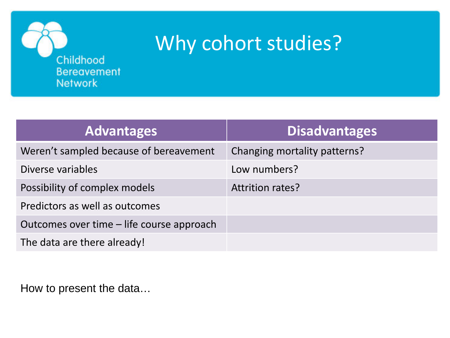

### Why cohort studies?

| <b>Advantages</b>                         | <b>Disadvantages</b>         |
|-------------------------------------------|------------------------------|
| Weren't sampled because of bereavement    | Changing mortality patterns? |
| Diverse variables                         | Low numbers?                 |
| Possibility of complex models             | <b>Attrition rates?</b>      |
| Predictors as well as outcomes            |                              |
| Outcomes over time – life course approach |                              |
| The data are there already!               |                              |

How to present the data…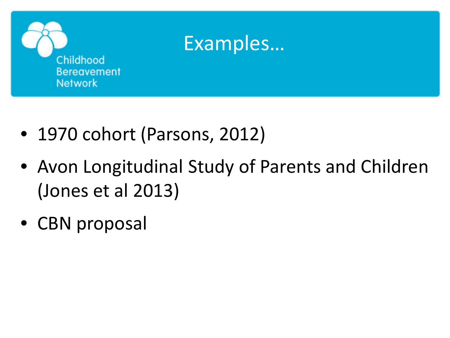

- 1970 cohort (Parsons, 2012)
- Avon Longitudinal Study of Parents and Children (Jones et al 2013)
- CBN proposal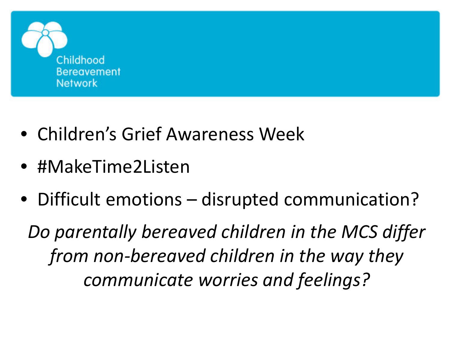

- Children's Grief Awareness Week
- #MakeTime2Listen
- Difficult emotions disrupted communication?

*Do parentally bereaved children in the MCS differ from non-bereaved children in the way they communicate worries and feelings?*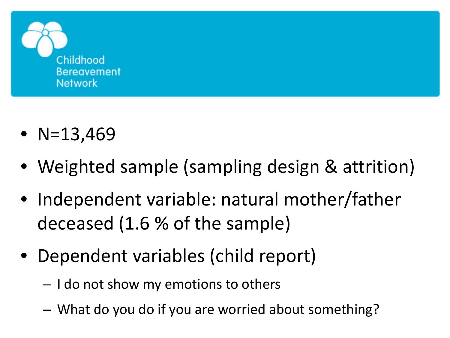

- $N=13,469$
- Weighted sample (sampling design & attrition)
- Independent variable: natural mother/father deceased (1.6 % of the sample)
- Dependent variables (child report)
	- I do not show my emotions to others
	- What do you do if you are worried about something?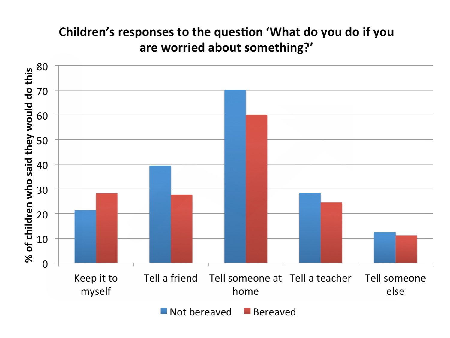#### Children's responses to the question 'What do you do if you are worried about something?'

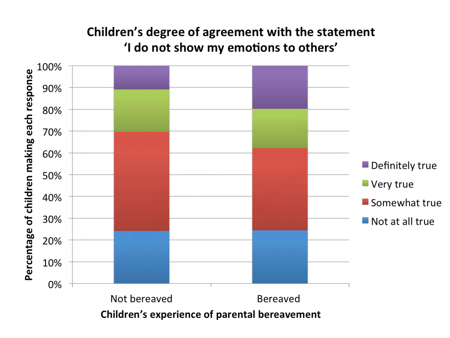#### Children's degree of agreement with the statement 'I do not show my emotions to others'



Children's experience of parental bereavement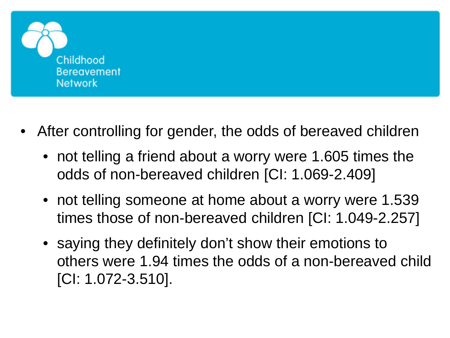

- After controlling for gender, the odds of bereaved children
	- not telling a friend about a worry were 1.605 times the odds of non-bereaved children [CI: 1.069-2.409]
	- not telling someone at home about a worry were 1.539 times those of non-bereaved children [CI: 1.049-2.257]
	- saying they definitely don't show their emotions to others were 1.94 times the odds of a non-bereaved child [CI: 1.072-3.510].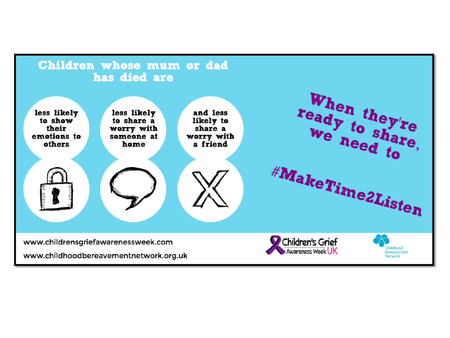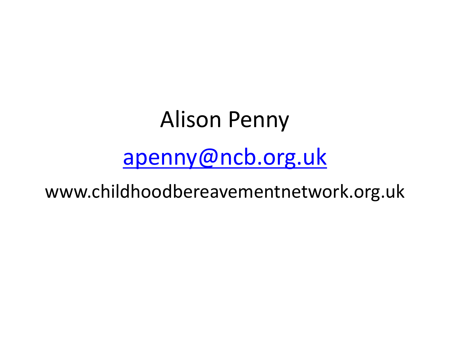# Alison Penny [apenny@ncb.org.uk](mailto:apenny@ncb.org.uk)

www.childhoodbereavementnetwork.org.uk